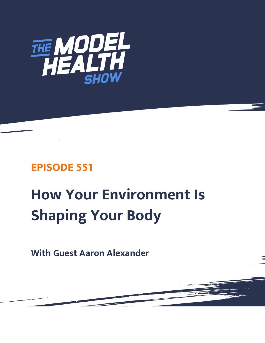

## **EPISODE 551**

# **How Your Environment Is Shaping Your Body**

**With Guest Aaron Alexander**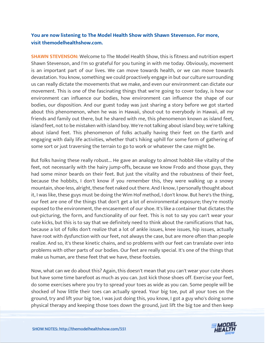### **You are now listening to The Model Health Show with Shawn Stevenson. For more, visit themodelhealthshow.com.**

**SHAWN STEVENSON:** Welcome to The Model Health Show, this is fitness and nutrition expert Shawn Stevenson, and I'm so grateful for you tuning in with me today. Obviously, movement is an important part of our lives. We can move towards health, or we can move towards devastation. You know, something we could proactively engage in but our culture surrounding us can really dictate the movements that we make, and even our environment can dictate our movement. This is one of the fascinating things that we're going to cover today, is how our environment can influence our bodies, how environment can influence the shape of our bodies, our disposition. And our guest today was just sharing a story before we got started about this phenomenon, when he was in Hawaii, shout-out to everybody in Hawaii, all my friends and family out there, but he shared with me, this phenomenon known as island feet, island feet, not to be mistaken with island boy. We're not talking about island boy; we're talking about island feet. This phenomenon of folks actually having their feet on the Earth and engaging with daily life activities, whether that's hiking uphill for some form of gathering of some sort or just traversing the terrain to go to work or whatever the case might be.

But folks having these really robust... He gave an analogy to almost hobbit-like vitality of the feet, not necessarily with the hairy jump-offs, because we know Frodo and those guys, they had some minor beards on their feet. But just the vitality and the robustness of their feet, because the hobbits, I don't know if you remember this, they were walking up a snowy mountain, shoe-less, alright, these feet naked out there. And I know, I personally thought about it, I was like, these guys must be doing the Wim Hof method, I don't know. But here's the thing, our feet are one of the things that don't get a lot of environmental exposure; they're mostly exposed to the environment, the encasement of our shoe. It's like a container that dictates the out-picturing, the form, and functionality of our feet. This is not to say you can't wear your cute kicks, but this is to say that we definitely need to think about the ramifications that has, because a lot of folks don't realize that a lot of ankle issues, knee issues, hip issues, actually have root with dysfunction with our feet, not always the case, but are more often than people realize. And so, it's these kinetic chains, and so problems with our feet can translate over into problems with other parts of our bodies. Our feet are really special. It's one of the things that make us human, are these feet that we have, these footsies.

Now, what can we do about this? Again, this doesn't mean that you can't wear your cute shoes but have some time barefoot as much as you can. Just kick those shoes off. Exercise your feet, do some exercises where you try to spread your toes as wide as you can. Some people will be shocked of how little their toes can actually spread. Your big toe, put all your toes on the ground, try and lift your big toe, I was just doing this, you know, I got a guy who's doing some [physical therapy and keeping those toes down the ground, just lift the big toe and then keep](https://themodelhealthshow.com/podcasts/aaron-alexander-environment/) 

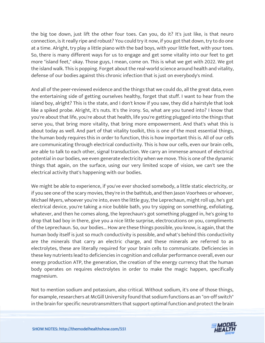the big toe down, just lift the other four toes. Can you, do it? It's just like, is that neuro connection, is it really ripe and robust? You could try it now, if you got that down, try to do one at a time. Alright, try play a little piano with the bad boys, with your little feet, with your toes. So, there is many different ways for us to engage and get some vitality into our feet to get more "island feet," okay. Those guys, I mean, come on. This is what we get with 2022. We got the island walk. This is popping. Forget about the real-world science around health and vitality, defense of our bodies against this chronic infection that is just on everybody's mind.

And all of the peer-reviewed evidence and the things that we could do, all the great data, even the entertaining side of getting ourselves healthy, forget that stuff. I want to hear from the island boy, alright? This is the state, and I don't know if you saw, they did a hairstyle that look like a spiked probe. Alright, it's nuts. It's the irony. So, what are you tuned into? I know that you're about that life, you're about that health, life you're getting plugged into the things that serve you, that bring more vitality, that bring more empowerment. And that's what this is about today as well. And part of that vitality toolkit, this is one of the most essential things, the human body requires this in order to function, this is how important this is. All of our cells are communicating through electrical conductivity. This is how our cells, even our brain cells, are able to talk to each other, signal transduction. We carry an immense amount of electrical potential in our bodies, we even generate electricity when we move. This is one of the dynamic things that again, on the surface, using our very limited scope of vision, we can't see the electrical activity that's happening with our bodies.

We might be able to experience, if you've ever shocked somebody, a little static electricity, or if you see one of the scary movies, they're in the bathtub, and then Jason Voorhees or whoever, Michael Myers, whoever you're into, even the little guy, the Leprechaun, might roll up, he's got electrical device, you're taking a nice bubble bath, you try sipping on something, exfoliating, whatever, and then he comes along, the leprechaun's got something plugged in, he's going to drop that bad boy in there, give you a nice little surprise, electrocutions on you, compliments of the Leprechaun. So, our bodies... How are these things possible, you know, is again, that the human body itself is just so much conductivity is possible, and what's behind this conductivity are the minerals that carry an electric charge, and these minerals are referred to as electrolytes, these are literally required for your brain cells to communicate. Deficiencies in these key nutrients lead to deficiencies in cognition and cellular performance overall, even our energy production ATP, the generation, the creation of the energy currency that the human body operates on requires electrolytes in order to make the magic happen, specifically magnesium.

Not to mention sodium and potassium, also critical. Without sodium, it's one of those things, for example, researchers at McGill University found that sodium functions as an "on-off switch" [in the brain for specific neurotransmitters that support optimal function and protect the brain](https://themodelhealthshow.com/podcasts/aaron-alexander-environment/)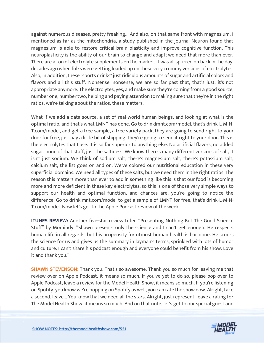against numerous diseases, pretty freaking... And also, on that same front with magnesium, I mentioned as far as the mitochondria, a study published in the journal Neuron found that magnesium is able to restore critical brain plasticity and improve cognitive function. This neuroplasticity is the ability of our brain to change and adapt; we need that more than ever. There are a ton of electrolyte supplements on the market, it was all spurred on back in the day, decades ago when folks were getting loaded up on these very crummy versions of electrolytes. Also, in addition, these "sports drinks" just ridiculous amounts of sugar and artificial colors and flavors and all this stuff. Nonsense, nonsense, we are so far past that, that's just, it's not appropriate anymore. The electrolytes, yes, and make sure they're coming from a good source, number one; number two, helping and paying attention to making sure that they're in the right ratios, we're talking about the ratios, these matters.

What if we add a data source, a set of real-world human beings, and looking at what is the optimal ratio, and that's what LMNT has done. Go to drinklmnt.com/model, that's drink-L-M-N-T.com/model, and get a free sample, a free variety pack, they are going to send right to your door for free, just pay a little bit of shipping, they're going to send it right to your door. This is the electrolytes that I use. It is so far superior to anything else. No artificial flavors, no added sugar, none of that stuff, just the saltiness. We know there's many different versions of salt, it isn't just sodium. We think of sodium salt, there's magnesium salt, there's potassium salt, calcium salt, the list goes on and on. We've colored our nutritional education in these very superficial domains. We need all types of these salts, but we need them in the right ratios. The reason this matters more than ever to add in something like this is that our food is becoming more and more deficient in these key electrolytes, so this is one of those very simple ways to support our health and optimal function, and chances are, you're going to notice the difference. Go to drinklmnt.com/model to get a sample of LMNT for free, that's drink-L-M-N-T.com/model. Now let's get to the Apple Podcast review of the week.

**ITUNES REVIEW:** Another five-star review titled "Presenting Nothing But The Good Science Stuff" by Momindy. "Shawn presents only the science and I can't get enough. He respects human life in all regards, but his propensity for utmost human health is bar none. He scours the science for us and gives us the summary in layman's terms, sprinkled with lots of humor and culture. I can't share his podcast enough and everyone could benefit from his show. Love it and thank you."

**SHAWN STEVENSON:** Thank you. That's so awesome. Thank you so much for leaving me that review over on Apple Podcast, it means so much. If you've yet to do so, please pop over to Apple Podcast, leave a review for the Model Health Show, it means so much. If you're listening on Spotify, you know we're popping on Spotify as well, you can rate the show now. Alright, take a second, leave... You know that we need all the stars. Alright, just represent, leave a rating for [The Model Health Show, it means so much. And on that note, let](https://themodelhealthshow.com/podcasts/aaron-alexander-environment/)'[s get to our special guest and](https://themodelhealthshow.com/podcasts/aaron-alexander-environment/)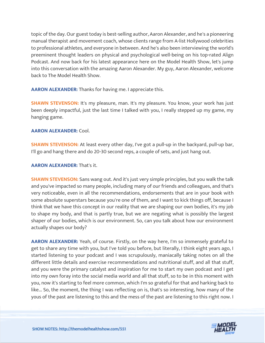topic of the day. Our guest today is best-selling author, Aaron Alexander, and he's a pioneering manual therapist and movement coach, whose clients range from A-list Hollywood celebrities to professional athletes, and everyone in between. And he's also been interviewing the world's preeminent thought leaders on physical and psychological well-being on his top-rated Align Podcast. And now back for his latest appearance here on the Model Health Show, let's jump into this conversation with the amazing Aaron Alexander. My guy, Aaron Alexander, welcome back to The Model Health Show.

**AARON ALEXANDER:** Thanks for having me. I appreciate this.

**SHAWN STEVENSON:** It's my pleasure, man. It's my pleasure. You know, your work has just been deeply impactful, just the last time I talked with you, I really stepped up my game, my hanging game.

#### **AARON ALEXANDER:** Cool.

**SHAWN STEVENSON:** At least every other day, I've got a pull-up in the backyard, pull-up bar, I'll go and hang there and do 20-30 second reps, a couple of sets, and just hang out.

#### **AARON ALEXANDER:** That's it.

**SHAWN STEVENSON:** Sans wang out. And it's just very simple principles, but you walk the talk and you've impacted so many people, including many of our friends and colleagues, and that's very noticeable, even in all the recommendations, endorsements that are in your book with some absolute superstars because you're one of them, and I want to kick things off, because I think that we have this concept in our reality that we are shaping our own bodies, it's my job to shape my body, and that is partly true, but we are negating what is possibly the largest shaper of our bodies, which is our environment. So, can you talk about how our environment actually shapes our body?

**AARON ALEXANDER:** Yeah, of course. Firstly, on the way here, I'm so immensely grateful to get to share any time with you, but I've told you before, but literally, I think eight years ago, I started listening to your podcast and I was scrupulously, maniacally taking notes on all the different little details and exercise recommendations and nutritional stuff, and all that stuff, and you were the primary catalyst and inspiration for me to start my own podcast and I get into my own foray into the social media world and all that stuff, so to be in this moment with you, now it's starting to feel more common, which I'm so grateful for that and harking back to like... So, the moment, the thing I was reflecting on is, that's so interesting, how many of the yous of the past are listening to this and the mess of the past are listening to this right now. I

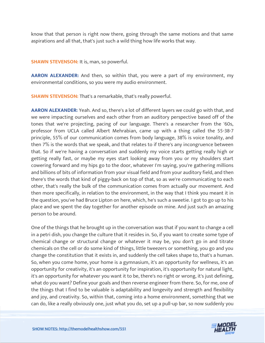know that that person is right now there, going through the same motions and that same aspirations and all that, that's just such a wild thing how life works that way.

**SHAWN STEVENSON: It is, man, so powerful.** 

**AARON ALEXANDER:** And then, so within that, you were a part of my environment, my environmental conditions, so you were my audio environment.

**SHAWN STEVENSON:** That's a remarkable, that's really powerful.

**AARON ALEXANDER:** Yeah. And so, there's a lot of different layers we could go with that, and we were impacting ourselves and each other from an auditory perspective based off of the tones that we're projecting, pacing of our language. There's a researcher from the '60s, professor from UCLA called Albert Mehrabian, came up with a thing called the 55-38-7 principle, 55% of our communication comes from body language, 38% is voice tonality, and then 7% is the words that we speak, and that relates to if there's any incongruence between that. So if we're having a conversation and suddenly my voice starts getting really high or getting really fast, or maybe my eyes start looking away from you or my shoulders start cowering forward and my hips go to the door, whatever I'm saying, you're gathering millions and billions of bits of information from your visual field and from your auditory field, and then there's the words that kind of piggy-back on top of that, so as we're communicating to each other, that's really the bulk of the communication comes from actually our movement. And then more specifically, in relation to the environment, in the way that I think you meant it in the question, you've had Bruce Lipton on here, which, he's such a sweetie. I got to go up to his place and we spent the day together for another episode on mine. And just such an amazing person to be around.

One of the things that he brought up in the conversation was that if you want to change a cell in a petri dish, you change the culture that it resides in. So, if you want to create some type of chemical change or structural change or whatever it may be, you don't go in and titrate chemicals on the cell or do some kind of things, little tweezers or something, you go and you change the constitution that it exists in, and suddenly the cell takes shape to, that's a human. So, when you come home, your home is a gymnasium, it's an opportunity for wellness, it's an opportunity for creativity, it's an opportunity for inspiration, it's opportunity for natural light, it's an opportunity for whatever you want it to be, there's no right or wrong, it's just defining, what do you want? Define your goals and then reverse engineer from there. So, for me, one of the things that I find to be valuable is adaptability and longevity and strength and flexibility and joy, and creativity. So, within that, coming into a home environment, something that we [can do, like a really obviously one, just what you do, set up a pull-up bar, so now suddenly you](https://themodelhealthshow.com/podcasts/aaron-alexander-environment/) 

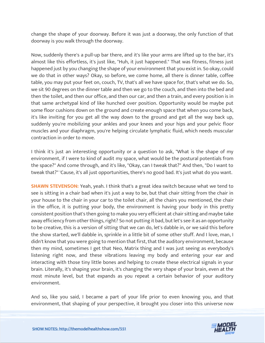change the shape of your doorway. Before it was just a doorway, the only function of that doorway is you walk through the doorway.

Now, suddenly there's a pull-up bar there, and it's like your arms are lifted up to the bar, it's almost like this effortless, it's just like, "Huh, it just happened." That was fitness, fitness just happened just by you changing the shape of your environment that you exist in. So okay, could we do that in other ways? Okay, so before, we come home, all there is dinner table, coffee table, you may put your feet on, couch, TV, that's all we have space for, that's what we do. So, we sit 90 degrees on the dinner table and then we go to the couch, and then into the bed and then the toilet, and then our office, and then our car, and then a train, and every position is in that same archetypal kind of like hunched over position. Opportunity would be maybe put some floor cushions down on the ground and create enough space that when you come back, it's like inviting for you get all the way down to the ground and get all the way back up, suddenly you're mobilizing your ankles and your knees and your hips and your pelvic floor muscles and your diaphragm, you're helping circulate lymphatic fluid, which needs muscular contraction in order to move.

I think it's just an interesting opportunity or a question to ask, "What is the shape of my environment, if I were to kind of audit my space, what would be the postural potentials from the space?" And come through, and it's like, "Okay, can I tweak that?" And then, "Do I want to tweak that?" 'Cause, it's all just opportunities, there's no good bad. It's just what do you want.

**SHAWN STEVENSON:** Yeah, yeah. I think that's a great idea switch because what we tend to see is sitting in a chair bad when it's just a way to be, but that chair sitting from the chair in your house to the chair in your car to the toilet chair, all the chairs you mentioned, the chair in the office, it is putting your body, the environment is having your body in this pretty consistent position that's then going to make you very efficient at chair sitting and maybe take away efficiency from other things, right? So not putting it bad, but let's see it as an opportunity to be creative, this is a version of sitting that we can do, let's dabble in, or we said this before the show started, we'll dabble in, sprinkle in a little bit of some other stuff. And I love, man, I didn't know that you were going to mention that first, that the auditory environment, because then my mind, sometimes I get that Neo, Matrix thing and I was just seeing as everybody's listening right now, and these vibrations leaving my body and entering your ear and interacting with those tiny little bones and helping to create these electrical signals in your brain. Literally, it's shaping your brain, it's changing the very shape of your brain, even at the most minute level, but that expands as you repeat a certain behavior of your auditory environment.

And so, like you said, I became a part of your life prior to even knowing you, and that [environment, that shaping of your perspective, it brought you closer into this universe now](https://themodelhealthshow.com/podcasts/aaron-alexander-environment/)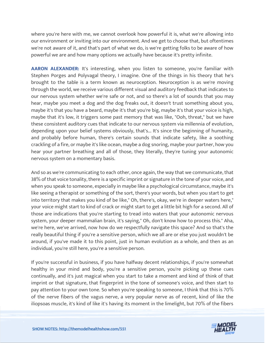where you're here with me, we cannot overlook how powerful it is, what we're allowing into our environment or inviting into our environment. And we get to choose that, but oftentimes we're not aware of it, and that's part of what we do, is we're getting folks to be aware of how powerful we are and how many options we actually have because it's pretty infinite.

**AARON ALEXANDER:** It's interesting, when you listen to someone, you're familiar with Stephen Porges and Polyvagal theory, I imagine. One of the things in his theory that he's brought to the table is a term known as neuroception. Neuroception is as we're moving through the world, we receive various different visual and auditory feedback that indicates to our nervous system whether we're safe or not, and so there's a lot of sounds that you may hear, maybe you meet a dog and the dog freaks out, it doesn't trust something about you, maybe it's that you have a beard, maybe it's that you're big, maybe it's that your voice is high, maybe that it's low, it triggers some past memory that was like, "Ooh, threat," but we have these consistent auditory cues that indicate to our nervous system via millennia of evolution, depending upon your belief systems obviously, that's... It's since the beginning of humanity, and probably before human, there's certain sounds that indicate safety, like a soothing crackling of a fire, or maybe it's like ocean, maybe a dog snoring, maybe your partner, how you hear your partner breathing and all of those, they literally, they're tuning your autonomic nervous system on a momentary basis.

And so as we're communicating to each other, once again, the way that we communicate, that 38% of that voice tonality, there is a specific imprint or signature in the tone of your voice, and when you speak to someone, especially in maybe like a psychological circumstance, maybe it's like seeing a therapist or something of the sort, there's your words, but when you start to get into territory that makes you kind of be like," Oh, there's, okay, we're in deeper waters here," your voice might start to kind of crack or might start to get a little bit high for a second. All of those are indications that you're starting to tread into waters that your autonomic nervous system, your deeper mammalian brain, it's saying," Oh, don't know how to process this." Aha, we're here, we've arrived, now how do we respectfully navigate this space? And so that's the really beautiful thing if you're a sensitive person, which we all are or else you just wouldn't be around, if you've made it to this point, just in human evolution as a whole, and then as an individual, you're still here, you're a sensitive person.

If you're successful in business, if you have halfway decent relationships, if you're somewhat healthy in your mind and body, you're a sensitive person, you're picking up these cues continually, and it's just magical when you start to take a moment and kind of think of that imprint or that signature, that fingerprint in the tone of someone's voice, and then start to pay attention to your own tone. So when you're speaking to someone, I think that this is 70% of the nerve fibers of the vagus nerve, a very popular nerve as of recent, kind of like the [iliopsoas muscle, it](https://themodelhealthshow.com/podcasts/aaron-alexander-environment/)'[s kind of like it](https://themodelhealthshow.com/podcasts/aaron-alexander-environment/)'[s having its moment in the limelight, but 70% of the fibers](https://themodelhealthshow.com/podcasts/aaron-alexander-environment/)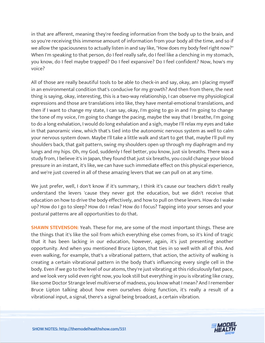in that are afferent, meaning they're feeding information from the body up to the brain, and so you're receiving this immense amount of information from your body all the time, and so if we allow the spaciousness to actually listen in and say like, "How does my body feel right now?" When I'm speaking to that person, do I feel really safe, do I feel like a clenching in my stomach, you know, do I feel maybe trapped? Do I feel expansive? Do I feel confident? Now, how's my voice?

All of those are really beautiful tools to be able to check-in and say, okay, am I placing myself in an environmental condition that's conducive for my growth? And then from there, the next thing is saying, okay, interesting, this is a two-way relationship, I can observe my physiological expressions and those are translations into like, they have mental-emotional translations, and then if I want to change my state, I can say, okay, I'm going to go in and I'm going to change the tone of my voice, I'm going to change the pacing, maybe the way that I breathe, I'm going to do a long exhalation, I would do long exhalation and a sigh, maybe I'll relax my eyes and take in that panoramic view, which that's tied into the autonomic nervous system as well to calm your nervous system down. Maybe I'll take a little walk and start to get that, maybe I'll pull my shoulders back, that gait pattern, swing my shoulders open up through my diaphragm and my lungs and my hips. Oh, my God, suddenly I feel better, you know, just six breaths. There was a study from, I believe it's in Japan, they found that just six breaths, you could change your blood pressure in an instant, it's like, we can have such immediate effect on this physical experience, and we're just covered in all of these amazing levers that we can pull on at any time.

We just prefer, well, I don't know if it's summary, I think it's cause our teachers didn't really understand the levers 'cause they never got the education, but we didn't receive that education on how to drive the body effectively, and how to pull on these levers. How do I wake up? How do I go to sleep? How do I relax? How do I focus? Tapping into your senses and your postural patterns are all opportunities to do that.

**SHAWN STEVENSON:** Yeah. These for me, are some of the most important things. These are the things that it's like the soil from which everything else comes from, so it's kind of tragic that it has been lacking in our education, however, again, it's just presenting another opportunity. And when you mentioned Bruce Lipton, that ties in so well with all of this. And even walking, for example, that's a vibrational pattern, that action, the activity of walking is creating a certain vibrational pattern in the body that's influencing every single cell in the body. Even if we go to the level of our atoms, they're just vibrating at this ridiculously fast pace, and we look very solid even right now, you look still but everything in you is vibrating like crazy, like some Doctor Strange level multiverse of madness, you know what I mean? And I remember Bruce Lipton talking about how even ourselves doing function, it's really a result of a vibrational input, a signal, there's a signal being broadcast, a certain vibration.

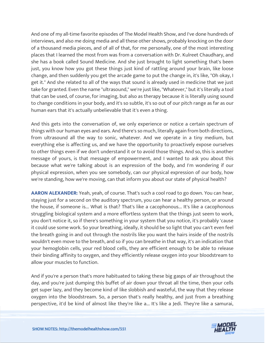And one of my all-time favorite episodes of The Model Health Show, and I've done hundreds of interviews, and also me doing media and all these other shows, probably knocking on the door of a thousand media pieces, and of all of that, for me personally, one of the most interesting places that I learned the most from was from a conversation with Dr. Kulreet Chaudhary, and she has a book called Sound Medicine. And she just brought to light something that's been just, you know how you got these things just kind of rattling around your brain, like loose change, and then suddenly you get the arcade game to put the change in, it's like, "Oh okay, I get it." And she related to all of the ways that sound is already used in medicine that we just take for granted. Even the name "ultrasound," we're just like, "Whatever," but it's literally a tool that can be used, of course, for imaging, but also as therapy because it is literally using sound to change conditions in your body, and it's so subtle, it's so out of our pitch range as far as our human ears that it's actually unbelievable that it's even a thing.

And this gets into the conversation of, we only experience or notice a certain spectrum of things with our human eyes and ears. And there's so much, literally again from both directions, from ultrasound all the way to sonic, whatever. And we operate in a tiny medium, but everything else is affecting us, and we have the opportunity to proactively expose ourselves to other things even if we don't understand it or to avoid those things. And so, this is another message of yours, is that message of empowerment, and I wanted to ask you about this because what we're talking about is an expression of the body, and I'm wondering if our physical expression, when you see somebody, can our physical expression of our body, how we're standing, how we're moving, can that inform you about our state of physical health?

**AARON ALEXANDER:** Yeah, yeah, of course. That's such a cool road to go down. You can hear, staying just for a second on the auditory spectrum, you can hear a healthy person, or around the house, if someone is... What is that? That's like a cacophonous... It's like a cacophonous struggling biological system and a more effortless system that the things just seem to work, you don't notice it, so if there's something in your system that you notice, it's probably 'cause it could use some work. So your breathing, ideally, it should be so light that you can't even feel the breath going in and out through the nostrils like you want the hairs inside of the nostrils wouldn't even move to the breath, and so if you can breathe in that way, it's an indication that your hemoglobin cells, your red blood cells, they are efficient enough to be able to release their binding affinity to oxygen, and they efficiently release oxygen into your bloodstream to allow your muscles to function.

And if you're a person that's more habituated to taking these big gasps of air throughout the day, and you're just dumping this buffet of air down your throat all the time, then your cells get super lazy, and they become kind of like slobbish and wasteful, the way that they release oxygen into the bloodstream. So, a person that's really healthy, and just from a breathing [perspective, it](https://themodelhealthshow.com/podcasts/aaron-alexander-environment/)'[d be kind of almost like they](https://themodelhealthshow.com/podcasts/aaron-alexander-environment/)'[re like a... It](https://themodelhealthshow.com/podcasts/aaron-alexander-environment/)'[s like a Jedi. They](https://themodelhealthshow.com/podcasts/aaron-alexander-environment/)'[re like a samurai,](https://themodelhealthshow.com/podcasts/aaron-alexander-environment/)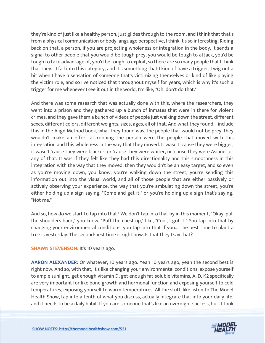they're kind of just like a healthy person, just glides through to the room, and I think that that's from a physical communication or body language perspective, I think it's so interesting. Riding back on that, a person, if you are projecting wholeness or integration in the body, it sends a signal to other people that you would be tough prey, you would be tough to attack, you'd be tough to take advantage of, you'd be tough to exploit, so there are so many people that I think that they... I fall into this category, and it's something that I kind of have a trigger, I wig out a bit when I have a sensation of someone that's victimizing themselves or kind of like playing the victim role, and so I've noticed that throughout myself for years, which is why it's such a trigger for me whenever I see it out in the world, I'm like, "Oh, don't do that."

And there was some research that was actually done with this, where the researchers, they went into a prison and they gathered up a bunch of inmates that were in there for violent crimes, and they gave them a bunch of videos of people just walking down the street, different sexes, different colors, different weights, sizes, ages, all of that. And what they found, I include this in the Align Method book, what they found was, the people that would not be prey, they wouldn't make an effort at robbing the person were the people that moved with this integration and this wholeness in the way that they moved. It wasn't 'cause they were bigger, it wasn't 'cause they were blacker, or 'cause they were whiter, or 'cause they were Asianer or any of that. It was if they felt like they had this directionality and this smoothness in this integration with the way that they moved, then they wouldn't be an easy target, and so even as you're moving down, you know, you're walking down the street, you're sending this information out into the visual world, and all of those people that are either passively or actively observing your experience, the way that you're ambulating down the street, you're either holding up a sign saying, "Come and get it," or you're holding up a sign that's saying, "Not me."

And so, how do we start to tap into that? We don't tap into that by in this moment, "Okay, pull the shoulders back," you know, "Puff the chest up," like, "Cool, I got it." You tap into that by changing your environmental conditions, you tap into that if you... The best time to plant a tree is yesterday. The second-best time is right now. Is that they I say that?

#### **SHAWN STEVENSON: It's 10 years ago.**

AARON ALEXANDER: Or whatever, 10 years ago. Yeah 10 years ago, yeah the second best is right now. And so, with that, it's like changing your environmental conditions, expose yourself to ample sunlight, get enough vitamin D, get enough fat-soluble vitamins, A, D, K2 specifically are very important for like bone growth and hormonal function and exposing yourself to cold temperatures, exposing yourself to warm temperatures. All the stuff, like listen to The Model Health Show, tap into a tenth of what you discuss, actually integrate that into your daily life, [and it needs to be a daily habit. If you are someone that](https://themodelhealthshow.com/podcasts/aaron-alexander-environment/)'[s like an overnight success, but it took](https://themodelhealthshow.com/podcasts/aaron-alexander-environment/) 

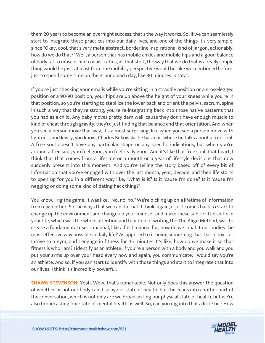them 20 years to become an overnight success, that's the way it works. So, if we can seamlessly start to integrate these practices into our daily lives, and one of the things it's very simple, since "Okay, cool, that's very meta-abstract, borderline inspirational kind of jargon, actionably, how do we do that?" Well, a person that has mobile ankles and mobile hips and a good balance of body fat to muscle, hip to waist ratios, all that stuff, the way that we do that is a really simple thing would be just, at least from the mobility perspective would be, like we mentioned before, just to spend some time on the ground each day, like 30 minutes in total.

If you're just checking your emails while you're sitting in a straddle position or a cross-legged position or a 90-90 position, your hips are up above the height of your knees while you're in that position, so you're starting to stabilize the lower back and orient the pelvis, sacrum, spine in such a way that they're strong, you're re-integrating back into those native patterns that you had as a child. Any baby moves pretty darn well 'cause they don't have enough muscle to kind of cheat through gravity, they're just finding that balance and that orientation. And when you see a person move that way, it's almost surprising, like when you see a person move with lightness and levity, you know, Charles Bukowski, he has a bit where he talks about a free soul. A free soul doesn't have any particular shape or any specific indications, but when you're around a free soul, you feel good, you feel really good. And it's like that free soul, that heart, I think that that comes from a lifetime or a month or a year of lifestyle decisions that now suddenly present into this moment. And you're telling the story based off of every bit of information that you've engaged with over the last month, year, decade, and then life starts to open up for you in a different way like, "What is it? Is it 'cause I'm done? Is it 'cause I'm negging or doing some kind of dating hack thing?"

You know, I rig the game, it was like, "No, no, no." We're picking up on a lifetime of information from each other. So the ways that we can do that, I think, again, it just comes back to start to change up the environment and change up your mindset and make these subtle little shifts in your life, which was the whole intention and function of writing the The Align Method, was to create a fundamental user's manual, like a field manual for, how do we inhabit our bodies the most effective way possible in daily life? As opposed to it being something that I sit in my car, I drive to a gym, and I engage in fitness for 45 minutes. It's like, how do we make it so that fitness is who I am? I identify as an athlete. If you're a person with a body and you walk and you put your arms up over your head every now and again, you communicate, I would say you're an athlete. And so, if you can start to identify with those things and start to integrate that into our lives, I think it's incredibly powerful.

**SHAWN STEVENSON:** Yeah. Wow, that's remarkable. Not only does this answer the question of whether or not our body can display our state of health, but this leads into another part of the conversation, which is not only are we broadcasting our physical state of health, but we're [also broadcasting our state of mental health as well. So, can you dig into that a little bit? How](https://themodelhealthshow.com/podcasts/aaron-alexander-environment/)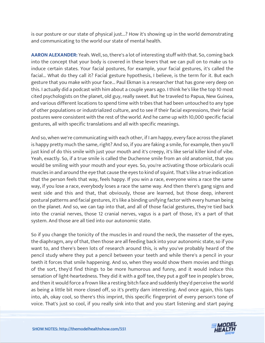is our posture or our state of physical just...? How it's showing up in the world demonstrating and communicating to the world our state of mental health.

**AARON ALEXANDER:** Yeah. Well, so, there's a lot of interesting stuff with that. So, coming back into the concept that your body is covered in these levers that we can pull on to make us to induce certain states. Your facial postures, for example, your facial gestures, it's called the facial... What do they call it? Facial gesture hypothesis, I believe, is the term for it. But each gesture that you make with your face... Paul Ekman is a researcher that has gone very deep on this. I actually did a podcast with him about a couple years ago. I think he's like the top 10 most cited psychologists on the planet, old guy, really sweet. But he traveled to Papua, New Guinea, and various different locations to spend time with tribes that had been untouched to any type of other populations or industrialized culture, and to see if their facial expressions, their facial postures were consistent with the rest of the world. And he came up with 10,000 specific facial gestures, all with specific translations and all with specific meanings.

And so, when we're communicating with each other, if I am happy, every face across the planet is happy pretty much the same, right? And so, if you are faking a smile, for example, then you'll just kind of do this smile with just your mouth and it's creepy, it's like serial killer kind of vibe. Yeah, exactly. So, if a true smile is called the Duchenne smile from an old anatomist, that you would be smiling with your mouth and your eyes. So, you're activating those orbicularis oculi muscles in and around the eye that cause the eyes to kind of squint. That's like a true indication that the person feels that way, feels happy. If you win a race, everyone wins a race the same way, if you lose a race, everybody loses a race the same way. And then there's gang signs and west side and this and that, that obviously, those are learned, but those deep, inherent postural patterns and facial gestures, it's like a binding unifying factor with every human being on the planet. And so, we can tap into that, and all of those facial gestures, they're tied back into the cranial nerves, those 12 cranial nerves, vagus is a part of those, it's a part of that system. And those are all tied into our autonomic state.

So if you change the tonicity of the muscles in and round the neck, the masseter of the eyes, the diaphragm, any of that, then those are all feeding back into your autonomic state, so if you want to, and there's been lots of research around this, is why you've probably heard of the pencil study where they put a pencil between your teeth and while there's a pencil in your teeth it forces that smile happening. And so, when they would show them movies and things of the sort, they'd find things to be more humorous and funny, and it would induce this sensation of light-heartedness. They did it with a golf tee, they put a golf tee in people's brow, and then it would force a frown like a resting bitch face and suddenly they'd perceive the world as being a little bit more closed off, so it's pretty darn interesting. And once again, this taps into, ah, okay cool, so there's this imprint, this specific fingerprint of every person's tone of [voice. That](https://themodelhealthshow.com/podcasts/aaron-alexander-environment/)'[s just so cool, if you really sink into that and you start listening and start paying](https://themodelhealthshow.com/podcasts/aaron-alexander-environment/)

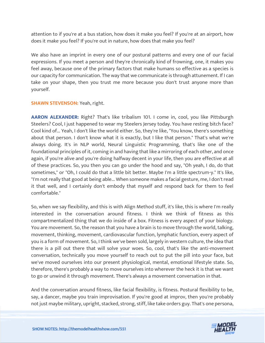attention to if you're at a bus station, how does it make you feel? If you're at an airport, how does it make you feel? If you're out in nature, how does that make you feel?

We also have an imprint in every one of our postural patterns and every one of our facial expressions. If you meet a person and they're chronically kind of frowning, one, it makes you feel away, because one of the primary factors that make humans so effective as a species is our capacity for communication. The way that we communicate is through attunement. If I can take on your shape, then you trust me more because you don't trust anyone more than yourself.

#### **SHAWN STEVENSON:** Yeah, right.

**AARON ALEXANDER:** Right? That's like tribalism 101. I come in, cool, you like Pittsburgh Steelers? Cool, I just happened to wear my Steelers Jersey today. You have resting bitch face? Cool kind of... Yeah, I don't like the world either. So, they're like, "You know, there's something about that person. I don't know what it is exactly, but I like that person." That's what we're always doing. It's in NLP world, Neural Linguistic Programming, that's like one of the foundational principles of it, coming in and having that like a mirroring of each other, and once again, if you're alive and you're doing halfway decent in your life, then you are effective at all of these practices. So, you then you can go under the hood and say, "Oh yeah, I do, do that sometimes," or "Oh, I could do that a little bit better. Maybe I'm a little spectrum-y." It's like, "I'm not really that good at being able... When someone makes a facial gesture, me, I don't read it that well, and I certainly don't embody that myself and respond back for them to feel comfortable."

So, when we say flexibility, and this is with Align Method stuff, it's like, this is where I'm really interested in the conversation around fitness. I think we think of fitness as this compartmentalized thing that we do inside of a box. Fitness is every aspect of your biology. You are movement. So, the reason that you have a brain is to move through the world, talking, movement, thinking, movement, cardiovascular function, lymphatic function, every aspect of you is a form of movement. So, I think we've been sold, largely in western culture, the idea that there is a pill out there that will solve your woes. So, cool, that's like the anti-movement conversation, technically you move yourself to reach out to put the pill into your face, but we've moved ourselves into our present physiological, mental, emotional lifestyle state. So, therefore, there's probably a way to move ourselves into wherever the heck it is that we want to go or unwind it through movement. There's always a movement conversation in that.

And the conversation around fitness, like facial flexibility, is fitness. Postural flexibility to be, say, a dancer, maybe you train improvisation. If you're good at improv, then you're probably [not just maybe military, upright, stacked, strong, stiff, like take orders guy. That](https://themodelhealthshow.com/podcasts/aaron-alexander-environment/)'[s one persona,](https://themodelhealthshow.com/podcasts/aaron-alexander-environment/)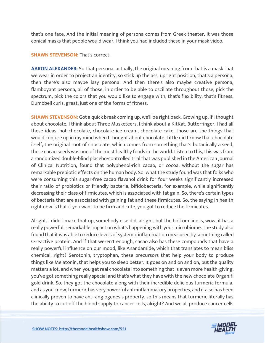that's one face. And the initial meaning of persona comes from Greek theater, it was those conical masks that people would wear. I think you had included these in your mask video.

#### **SHAWN STEVENSON: That's correct.**

**AARON ALEXANDER:** So that persona, actually, the original meaning from that is a mask that we wear in order to project an identity, so stick up the ass, upright position, that's a persona, then there's also maybe lazy persona. And then there's also maybe creative persona, flamboyant persona, all of those, in order to be able to oscillate throughout those, pick the spectrum, pick the colors that you would like to engage with, that's flexibility, that's fitness. Dumbbell curls, great, just one of the forms of fitness.

**SHAWN STEVENSON:** Got a quick break coming up, we'll be right back. Growing up, if I thought about chocolate, I think about Three Musketeers, I think about a KitKat, Butterfinger. I had all these ideas, hot chocolate, chocolate ice cream, chocolate cake, those are the things that would conjure up in my mind when I thought about chocolate. Little did I know that chocolate itself, the original root of chocolate, which comes from something that's botanically a seed, these cacao seeds was one of the most healthy foods in the world. Listen to this, this was from a randomized double-blind placebo-controlled trial that was published in the American Journal of Clinical Nutrition, found that polyphenol-rich cacao, or cocoa, without the sugar has remarkable prebiotic effects on the human body. So, what the study found was that folks who were consuming this sugar-free cacao flavanol drink for four weeks significantly increased their ratio of probiotics or friendly bacteria, bifidobacteria, for example, while significantly decreasing their class of firmicutes, which is associated with fat gain. So, there's certain types of bacteria that are associated with gaining fat and these firmicutes. So, the saying in health right now is that if you want to be firm and cute, you got to reduce the firmicutes.

Alright. I didn't make that up, somebody else did, alright, but the bottom line is, wow, it has a really powerful, remarkable impact on what's happening with your microbiome. The study also found that it was able to reduce levels of systemic inflammation measured by something called C-reactive protein. And if that weren't enough, cacao also has these compounds that have a really powerful influence on our mood, like Anandamide, which that translates to mean bliss chemical, right? Serotonin, tryptophan, these precursors that help your body to produce things like Melatonin, that helps you to sleep better. It goes on and on and on, but the quality matters a lot, and when you get real chocolate into something that is even more health-giving, you've got something really special and that's what they have with the new chocolate Organifi gold drink. So, they got the chocolate along with their incredible delicious turmeric formula, and as you know, turmeric has very powerful anti-inflammatory properties, and it also has been clinically proven to have anti-angiogenesis property, so this means that turmeric literally has [the ability to cut off the blood supply to cancer cells, alright? And we all produce cancer cells](https://themodelhealthshow.com/podcasts/aaron-alexander-environment/) 

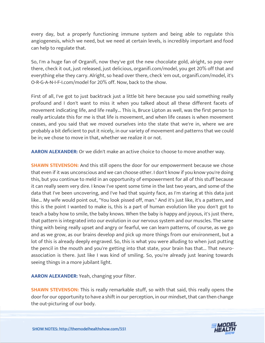every day, but a properly functioning immune system and being able to regulate this angiogenesis, which we need, but we need at certain levels, is incredibly important and food can help to regulate that.

So, I'm a huge fan of Organifi, now they've got the new chocolate gold, alright, so pop over there, check it out, just released, just delicious, organifi.com/model, you get 20% off that and everything else they carry. Alright, so head over there, check 'em out, organifi.com/model, it's O-R-G-A-N-I-F-I.com/model for 20% off. Now, back to the show.

First of all, I've got to just backtrack just a little bit here because you said something really profound and I don't want to miss it when you talked about all these different facets of movement indicating life, and life really... This is, Bruce Lipton as well, was the first person to really articulate this for me is that life is movement, and when life ceases is when movement ceases, and you said that we moved ourselves into the state that we're in, where we are probably a bit deficient to put it nicely, in our variety of movement and patterns that we could be in; we chose to move in that, whether we realize it or not.

**AARON ALEXANDER:** Or we didn't make an active choice to choose to move another way.

**SHAWN STEVENSON:** And this still opens the door for our empowerment because we chose that even if it was unconscious and we can choose other. I don't know if you know you're doing this, but you continue to meld in an opportunity of empowerment for all of this stuff because it can really seem very dire. I know I've spent some time in the last two years, and some of the data that I've been uncovering, and I've had that squinty face, as I'm staring at this data just like... My wife would point out, "You look pissed off, man." And it's just like, it's a pattern, and this is the point I wanted to make is, this is a part of human evolution like you don't got to teach a baby how to smile, the baby knows. When the baby is happy and joyous, it's just there, that pattern is integrated into our evolution in our nervous system and our muscles. The same thing with being really upset and angry or fearful, we can learn patterns, of course, as we go and as we grow, as our brains develop and pick up more things from our environment, but a lot of this is already deeply engraved. So, this is what you were alluding to when just putting the pencil in the mouth and you're getting into that state, your brain has that... That neuroassociation is there. Just like I was kind of smiling. So, you're already just leaning towards seeing things in a more jubilant light.

**AARON ALEXANDER:** Yeah, changing your filter.

**SHAWN STEVENSON:** This is really remarkable stuff, so with that said, this really opens the door for our opportunity to have a shift in our perception, in our mindset, that can then change [the out-picturing of our body.](https://themodelhealthshow.com/podcasts/aaron-alexander-environment/)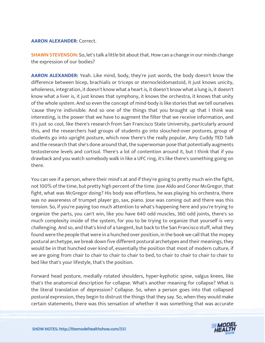#### **AARON ALEXANDER:** Correct.

**SHAWN STEVENSON:** So, let's talk a little bit about that. How can a change in our minds change the expression of our bodies?

**AARON ALEXANDER:** Yeah. Like mind, body, they're just words, the body doesn't know the difference between bicep, brachialis or triceps or sternocleidomastoid, it just knows unicity, wholeness, integration, it doesn't know what a heart is, it doesn't know what a lung is, it doesn't know what a liver is, it just knows that symphony, it knows the orchestra, it knows that unity of the whole system. And so even the concept of mind-body is like stories that we tell ourselves 'cause they're indivisible. And so one of the things that you brought up that I think was interesting, is the power that we have to augment the filter that we receive information, and it's just so cool, like there's research from San Francisco State University, particularly around this, and the researchers had groups of students go into slouched-over postures, group of students go into upright posture, which now there's the really popular, Amy Cuddy TED Talk and the research that she's done around that, the superwoman pose that potentially augments testosterone levels and cortisol. There's a lot of contention around it, but I think that if you drawback and you watch somebody walk in like a UFC ring, it's like there's something going on there.

You can see if a person, where their mind's at and if they're going to pretty much win the fight, not 100% of the time, but pretty high percent of the time. Jose Aldo and Conor McGregor, that fight, what was McGregor doing? His body was effortless, he was playing his orchestra, there was no awareness of trumpet player go, sax, piano. Jose was coming out and there was this tension. So, if you're paying too much attention to what's happening here and you're trying to organize the parts, you can't win, like you have 640 odd muscles, 360 odd joints, there's so much complexity inside of the system, for you to be trying to organize that yourself is very challenging. And so, and that's kind of a tangent, but back to the San Francisco stuff, what they found were the people that were in a hunched over position, in the book we call that the mopey postural archetype, we break down five different postural archetypes and their meanings, they would be in that hunched over kind of, essentially the position that most of modern culture, if we are going from chair to chair to chair to chair to bed, to chair to chair to chair to chair to bed like that's your lifestyle, that's the position.

Forward head posture, medially rotated shoulders, hyper-kyphotic spine, valgus knees, like that's the anatomical description for collapse. What's another meaning for collapse? What is the literal translation of depression? Collapse. So, when a person goes into that collapsed postural expression, they begin to distrust the things that they say. So, when they would make certain statements, there was this sensation [of whether it was something that was accurate](https://themodelhealthshow.com/podcasts/aaron-alexander-environment/)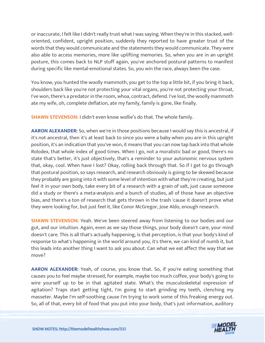or inaccurate, I felt like I didn't really trust what I was saying. When they're in this stacked, welloriented, confident, upright position, suddenly they reported to have greater trust of the words that they would communicate and the statements they would communicate. They were also able to access memories, more like uplifting memories. So, when you are in an upright posture, this comes back to NLP stuff again, you've anchored postural patterns to manifest during specific like mental-emotional states. So, you win the race, always been the case.

You know, you hunted the woolly mammoth, you get to the top a little bit, if you bring it back, shoulders back like you're not protecting your vital organs, you're not protecting your throat, I've won, there's a predator in the room, whoa, contract, defend. I've lost, the woolly mammoth ate my wife, oh, complete deflation, ate my family, family is gone, like finally.

**SHAWN STEVENSON:** I didn't even know wollie's do that. The whole family.

**AARON ALEXANDER:** So, when we're in those positions because I would say this is ancestral, if it's not ancestral, then it's at least back to since you were a baby when you are in this upright position, it's an indication that you've won, it means that you can now tap back into that whole Rolodex, that whole index of good times. When I go, not a moralistic bad or good, there's no state that's better, it's just objectively, that's a reminder to your autonomic nervous system that, okay, cool. When have I lost? Okay, rolling back through that. So if I get to go through that postural position, so says research, and research obviously is going to be skewed because they probably are going into it with some level of intention with what they're creating, but just feel it in your own body, take every bit of a research with a grain of salt, just cause someone did a study or there's a meta-analysis and a bunch of studies, all of those have an objective bias, and there's a ton of research that gets thrown in the trash 'cause it doesn't prove what they were looking for, but just feel it, like Conor McGregor, Jose Aldo, enough research.

**SHAWN STEVENSON:** Yeah. We've been steered away from listening to our bodies and our gut, and our intuition. Again, even as we say those things, your body doesn't care, your mind doesn't care. This is all that's actually happening, is that perception, is that your body's kind of response to what's happening in the world around you, it's there, we can kind of numb it, but this leads into another thing I want to ask you about. Can what we eat affect the way that we move?

**AARON ALEXANDER:** Yeah, of course, you know that. So, if you're eating something that causes you to feel maybe stressed, for example, maybe too much coffee, your body's going to wire yourself up to be in that agitated state. What's the musculoskeletal expression of agitation? Traps start getting tight, I'm going to start grinding my teeth, clenching my masseter. Maybe I'm self-soothing cause I'm trying to work some of this freaking energy out. [So, all of that, every bit of food that you put into your body, that](https://themodelhealthshow.com/podcasts/aaron-alexander-environment/)'[s just information, auditory](https://themodelhealthshow.com/podcasts/aaron-alexander-environment/)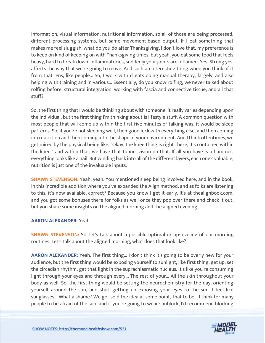information, visual information, nutritional information, so all of those are being processed, different processing systems, but same movement-based output. If I eat something that makes me feel sluggish, what do you do after Thanksgiving, I don't love that, my preference is to keep on kind of keeping on with Thanksgiving times, but yeah, you eat some food that feels heavy, hard to break down, inflammatories, suddenly your joints are inflamed. Yes. Strong yes, affects the way that we're going to move. And such an interesting thing when you think of it from that lens, like people... So, I work with clients doing manual therapy, largely, and also helping with training and in various... Essentially, do you know rolfing, we never talked about rolfing before, structural integration, working with fascia and connective tissue, and all that stuff?

So, the first thing that I would be thinking about with someone, it really varies depending upon the individual, but the first thing I'm thinking about is lifestyle stuff. A common question with most people that will come up within the first five minutes of talking was, it would be sleep patterns. So, if you're not sleeping well, then good luck with everything else, and then coming into nutrition and then coming into the shape of your environment. And I think oftentimes, we get mired by the physical being like, "Okay, the knee thing is right there, it's contained within the knee," and within that, we have that tunnel vision on that. If all you have is a hammer, everything looks like a nail. But winding back into all of the different layers, each one's valuable, nutrition is just one of the invaluable inputs.

**SHAWN STEVENSON:** Yeah, yeah. You mentioned sleep being involved here, and in the book, in this incredible addition where you've expanded the Align method, and as folks are listening to this, it's now available, correct? Because you know I get it early. It's at thealignbook.com, and you got some bonuses there for folks as well once they pop over there and check it out, but you share some insights on the aligned morning and the aligned evening.

#### **AARON ALEXANDER:** Yeah.

**SHAWN STEVENSON:** So, let's talk about a possible optimal or up-leveling of our morning routines. Let's talk about the aligned morning, what does that look like?

**AARON ALEXANDER:** Yeah. The first thing... I don't think it's going to be overly new for your audience, but the first thing would be exposing yourself to sunlight, like first thing, get up, set the circadian rhythm, get that light in the suprachiasmatic nucleus. It's like you're consuming light through your eyes and through every... The rest of your... All the skin throughout your body as well. So, the first thing would be setting the neurochemistry for the day, orienting yourself around the sun, and start getting up exposing your eyes to the sun. I feel like sunglasses... What a shame? We got sold the idea at some point, that to be... I think for many [people to be afraid of the sun, and if you](https://themodelhealthshow.com/podcasts/aaron-alexander-environment/)'[re going to wear sunblock, I](https://themodelhealthshow.com/podcasts/aaron-alexander-environment/)'[d recommend blocking](https://themodelhealthshow.com/podcasts/aaron-alexander-environment/)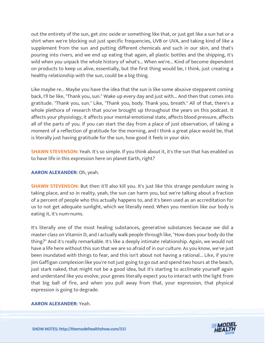out the entirety of the sun, get zinc oxide or something like that, or just get like a sun hat or a shirt when we're blocking out just specific frequencies, UVB or UVA, and taking kind of like a supplement from the sun and putting different chemicals and such in our skin, and that's pouring into rivers, and we end up eating that again, all plastic bottles and the shipping, it's wild when you unpack the whole history of what's... When we're... Kind of become dependent on products to keep us alive, essentially, but the first thing would be, I think, just creating a healthy relationship with the sun, could be a big thing.

Like maybe re... Maybe you have the idea that the sun is like some abusive stepparent coming back, I'll be like, "Thank you, sun." Wake up every day and just with... And then that comes into gratitude. "Thank you, sun." Like, "Thank you, body. Thank you, breath." All of that, there's a whole plethora of research that you've brought up throughout the years on this podcast. It affects your physiology, it affects your mental-emotional state, affects blood pressure, affects all of the parts of you. If you can start the day from a place of just observation, of taking a moment of a reflection of gratitude for the morning, and I think a great place would be, that is literally just having gratitude for the sun, how good it feels in your skin.

**SHAWN STEVENSON:** Yeah. It's so simple. If you think about it, it's the sun that has enabled us to have life in this expression here on planet Earth, right?

#### **AARON ALEXANDER:** Oh, yeah.

**SHAWN STEVENSON:** But then it'll also kill you. It's just like this strange pendulum swing is taking place, and so in reality, yeah, the sun can harm you, but we're talking about a fraction of a percent of people who this actually happens to, and it's been used as an accreditation for us to not get adequate sunlight, which we literally need. When you mention like our body is eating it, it's num-nums.

It's literally one of the most healing substances, generative substances because we did a master class on Vitamin D, and I actually walk people through like, "How does your body do the thing?" And it's really remarkable. It's like a deeply intimate relationship. Again, we would not have a life here without this sun that we are so afraid of in our culture. As you know, we've just been inundated with things to fear, and this isn't about not having a rational... Like, if you're Jim Gaffigan complexion like you're not just going to go out and spend two hours at the beach, just stark naked, that might not be a good idea, but it's starting to acclimate yourself again and understand like you evolve, your genes literally expect you to interact with the light from that big ball of fire, and when you pull away from that, your expression, that physical expression is going to degrade.

#### **[AARON ALEXANDER:](https://themodelhealthshow.com/podcasts/aaron-alexander-environment/)** Yeah.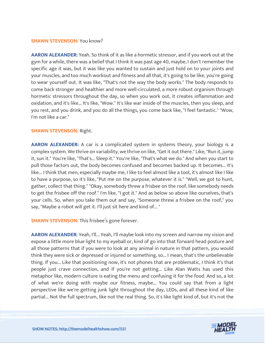#### **SHAWN STEVENSON: You know?**

**AARON ALEXANDER:** Yeah. So think of it as like a hormetic stressor, and if you work out at the gym for a while, there was a belief that I think it was past age 40, maybe, I don't remember the specific age it was, but it was like you wanted to sustain and just hold on to your joints and your muscles, and too much workout and fitness and all that, it's going to be like, you're going to wear yourself out. It was like, "That's not the way the body works." The body responds to come back stronger and healthier and more well-circulated, a more robust organism through hormetic stressors throughout the day, so when you work out, it creates inflammation and oxidation, and it's like... It's like, "Wow." It's like war inside of the muscles, then you sleep, and you rest, and you drink, and you do all the things, you come back like, "I feel fantastic." "Wow, I'm not like a car."

#### **SHAWN STEVENSON:** Right.

**AARON ALEXANDER:** A car is a complicated system in systems theory, your biology is a complex system. We thrive on variability, we thrive on like, "Get it out there." Like, "Run it, jump it, sun it." You're like, "That's... Sleep it." You're like, "That's what we do." And when you start to pull those factors out, the body becomes confused and becomes backed up. It becomes... It's like... I think that men, especially maybe me, I like to feel almost like a tool, it's almost like I like to have a purpose, so it's like, "Put me on the purpose, whatever it is." "Well, we got to hunt, gather, collect that thing." "Okay, somebody threw a frisbee on the roof, like somebody needs to get the frisbee off the roof." I'm like, "I got it." And as below so above like ourselves, that's your cells. So, when you take them out and say, "Someone threw a frisbee on the roof," you say, "Maybe a robot will get it. I'll just sit here and kind of... "

**SHAWN STEVENSON:** This frisbee's gone forever.

**AARON ALEXANDER:** Yeah, I'll... Yeah, I'll maybe look into my screen and narrow my vision and expose a little more blue light to my eyeball or, kind of go into that forward head posture and all those patterns that if you were to look at any animal in nature in that pattern, you would think they were sick or depressed or injured or something, so... I mean, that's the unbelievable thing. If you... Like that positioning now, it's not phones that are problematic, I think it's that people just crave connection, and if you're not getting... Like Alan Watts has used this metaphor like, modern culture is eating the menu and confusing it for the food. And so, a lot of what we're doing with maybe our fitness, maybe... You could say that from a light perspective like we're getting junk light throughout the day, LEDs, and all these kind of like partial... Not the full spectrum, like not the real thing. So, it's like light kind of, but it's not the

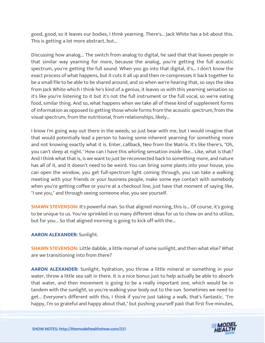good, good, so it leaves our bodies, I think yearning. There's... Jack White has a bit about this. This is getting a lot more abstract, but...

Discussing how analog... The switch from analog to digital, he said that that leaves people in that similar way yearning for more, because the analog, you're getting the full acoustic spectrum, you're getting the full sound. When you go into that digital, it's... I don't know the exact process of what happens, but it cuts it all up and then re-compresses it back together to be a small file to be able to be shared around, and so when we're hearing that, so says the idea from Jack White which I think he's kind of a genius, it leaves us with this yearning sensation so it's like you're listening to it but it's not the full instrument or the full vocal, so we're eating food, similar thing. And so, what happens when we take all of these kind of supplement forms of information as opposed to getting those whole forms from the acoustic spectrum, from the visual spectrum, from the nutritional, from relationships, likely...

I know I'm going way out there in the weeds, so just bear with me, but I would imagine that that would potentially lead a person to having some inherent yearning for something more and not knowing exactly what it is. Enter, callback, Neo from the Matrix. It's like there's, "Oh, you can't sleep at night." How can I have this whirling sensation inside like... Like, what is that? And I think what that is, is we want to just be reconnected back to something more, and nature has all of it, and it doesn't need to be weird. You can bring some plants into your house, you can open the window, you get full-spectrum light coming through, you can take a walking meeting with your friends or your business people, make some eye contact with somebody when you're getting coffee or you're at a checkout line, just have that moment of saying like, "I see you," and through seeing someone else, you see yourself.

**SHAWN STEVENSON:** It's powerful man. So that aligned morning, this is... Of course, it's going to be unique to us. You've sprinkled in so many different ideas for us to chew on and to utilize, but for you... So that aligned morning is going to kick off with the...

**AARON ALEXANDER:** Sunlight.

**SHAWN STEVENSON:** Little dabble, a little morsel of some sunlight, and then what else? What are we transitioning into from there?

**AARON ALEXANDER:** Sunlight, hydration, you throw a little mineral or something in your water, throw a little sea salt in there. It is a nice bonus just to help actually be able to absorb that water, and then movement is going to be a really important one, which would be in tandem with the sunlight, so you're walking your body out to the sun. Sometimes we need to get... Everyone's different with this, I think if you're just taking a walk, that's fantastic. "I'm [happy, I](https://themodelhealthshow.com/podcasts/aaron-alexander-environment/)'[m so grateful and happy about that," but pushing yourself past that first five minutes,](https://themodelhealthshow.com/podcasts/aaron-alexander-environment/)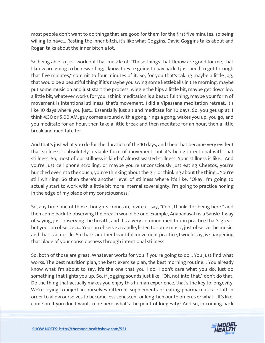most people don't want to do things that are good for them for the first five minutes, so being willing to have... Resting the inner bitch, it's like what Goggins, David Goggins talks about and Rogan talks about the inner bitch a lot.

So being able to just work out that muscle of, "Those things that I know are good for me, that I know are going to be rewarding, I know they're going to pay back, I just need to get through that five minutes," commit to four minutes of it. So, for you that's taking maybe a little jog, that would be a beautiful thing if it's maybe you swing some kettlebells in the morning, maybe put some music on and just start the process, wiggle the hips a little bit, maybe get down low a little bit, whatever works for you. I think meditation is a beautiful thing, maybe your form of movement is intentional stillness, that's movement. I did a Vipassana meditation retreat, it's like 10 days where you just... Essentially just sit and meditate for 10 days. So, you get up at, I think 4:30 or 5:00 AM, guy comes around with a gong, rings a gong, wakes you up, you go, and you meditate for an hour, then take a little break and then meditate for an hour, then a little break and meditate for...

And that's just what you do for the duration of the 10 days, and then that became very evident that stillness is absolutely a viable form of movement, but it's being intentional with that stillness. So, most of our stillness is kind of almost wasted stillness. Your stillness is like... And you're just cell phone scrolling, or maybe you're unconsciously just eating Cheetos, you're hunched over into the couch, you're thinking about the girl or thinking about the thing... You're still whirling. So then there's another level of stillness where it's like, "Okay, I'm going to actually start to work with a little bit more internal sovereignty. I'm going to practice honing in the edge of my blade of my consciousness."

So, any time one of those thoughts comes in, invite it, say, "Cool, thanks for being here," and then come back to observing the breath would be one example, Anapanasati is a Sanskrit way of saying, just observing the breath, and it's a very common meditation practice that's great, but you can observe a... You can observe a candle, listen to some music, just observe the music, and that is a muscle. So that's another beautiful movement practice, I would say, is sharpening that blade of your consciousness through intentional stillness.

So, both of those are great. Whatever works for you if you're going to do... You just find what works. The best nutrition plan, the best exercise plan, the best morning routine... You already know what I'm about to say, it's the one that you'll do. I don't care what you do, just do something that lights you up. So, if jogging sounds just like, "Oh, not into that," don't do that. Do the thing that actually makes you enjoy this human experience, that's the key to longevity. We're trying to inject in ourselves different supplements or eating pharmaceutical stuff in order to allow ourselves to become less senescent or lengthen our telomeres or what... It's like, [come on if you don](https://themodelhealthshow.com/podcasts/aaron-alexander-environment/)'[t want to be here, what](https://themodelhealthshow.com/podcasts/aaron-alexander-environment/)'[s the point of longevity? And so, in coming back](https://themodelhealthshow.com/podcasts/aaron-alexander-environment/)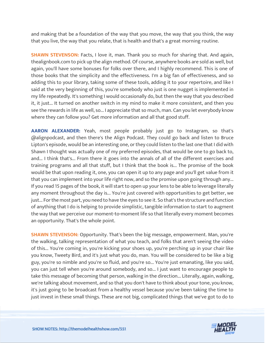and making that be a foundation of the way that you move, the way that you think, the way that you live, the way that you relate, that is health and that's a great morning routine.

**SHAWN STEVENSON:** Facts, I love it, man. Thank you so much for sharing that. And again, thealignbook.com to pick up the align method. Of course, anywhere books are sold as well, but again, you'll have some bonuses for folks over there, and I highly recommend. This is one of those books that the simplicity and the effectiveness. I'm a big fan of effectiveness, and so adding this to your library, taking some of these tools, adding it to your repertoire, and like I said at the very beginning of this, you're somebody who just is one nugget is implemented in my life repeatedly. It's something I would occasionally do, but then the way that you described it, it just... It turned on another switch in my mind to make it more consistent, and then you see the rewards in life as well, so... I appreciate that so much, man. Can you let everybody know where they can follow you? Get more information and all that good stuff.

**AARON ALEXANDER:** Yeah, most people probably just go to Instagram, so that's @alignpodcast, and then there's the Align Podcast. They could go back and listen to Bruce Lipton's episode, would be an interesting one, or they could listen to the last one that I did with Shawn I thought was actually one of my preferred episodes, that would be one to go back to, and... I think that's... From there it goes into the annals of all of the different exercises and training programs and all that stuff, but I think that the book is... The promise of the book would be that upon reading it, one, you can open it up to any page and you'll get value from it that you can implement into your life right now, and so the promise upon going through any... If you read 15 pages of the book, it will start to open up your lens to be able to leverage literally any moment throughout the day is... You're just covered with opportunities to get better, we just... For the most part, you need to have the eyes to see it. So that's the structure and function of anything that I do is helping to provide simplistic, tangible information to start to augment the way that we perceive our moment-to-moment life so that literally every moment becomes an opportunity. That's the whole point.

**SHAWN STEVENSON:** Opportunity. That's been the big message, empowerment. Man, you're the walking, talking representation of what you teach, and folks that aren't seeing the video of this... You're coming in, you're kicking your shoes up, you're perching up in your chair like you know, Tweety Bird, and it's just what you do, man. You will be considered to be like a big guy, you're so nimble and you're so fluid, and you're so... You're just emanating, like you said, you can just tell when you're around somebody, and so... I just want to encourage people to take this message of becoming that person, walking in the direction... Literally, again, walking, we're talking about movement, and so that you don't have to think about your tone, you know, it's just going to be broadcast from a healthy vessel because you've been taking the time to just invest in these small things. These are not big, complicated things that we've got to do to